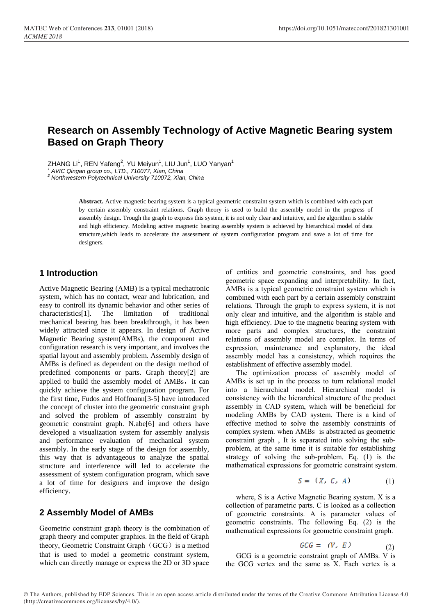# **Research on Assembly Technology of Active Magnetic Bearing system Based on Graph Theory**

ZHANG Li<sup>1</sup>, REN Yafeng<sup>2</sup>, YU Meiyun<sup>1</sup>, LIU Jun<sup>1</sup>, LUO Yanyan<sup>1</sup><br><sup>1</sup> AVIC Qingan group co., LTD., 710077, Xian, China 1

*<sup>2</sup> Northwestern Polytechnical University 710072, Xian, China*

**Abstract.** Active magnetic bearing system is a typical geometric constraint system which is combined with each part by certain assembly constraint relations. Graph theory is used to build the assembly model in the progress of assembly design. Trough the graph to express this system, it is not only clear and intuitive, and the algorithm is stable and high efficiency. Modeling active magnetic bearing assembly system is achieved by hierarchical model of data structure,which leads to accelerate the assessment of system configuration program and save a lot of time for designers.

#### **1 Introduction**

Active Magnetic Bearing (AMB) is a typical mechatronic system, which has no contact, wear and lubrication, and easy to controll its dynamic behavior and other series of characteristics[1]. The limitation of traditional mechanical bearing has been breakthrough, it has been widely attracted since it appears. In design of Active Magnetic Bearing system(AMBs), the component and configuration research is very important, and involves the spatial layout and assembly problem. Assembly design of AMBs is defined as dependent on the design method of predefined components or parts. Graph theory[2] are applied to build the assembly model of AMBs, it can quickly achieve the system configuration program. For the first time, Fudos and Hoffmann[3-5] have introduced the concept of cluster into the geometric constraint graph and solved the problem of assembly constraint by geometric constraint graph. N.abe[6] and others have developed a visualization system for assembly analysis and performance evaluation of mechanical system assembly. In the early stage of the design for assembly, this way that is advantageous to analyze the spatial structure and interference will led to accelerate the assessment of system configuration program, which save a lot of time for designers and improve the design efficiency.

#### **2 Assembly Model of AMBs**

Geometric constraint graph theory is the combination of graph theory and computer graphics. In the field of Graph theory, Geometric Constraint Graph (GCG) is a method that is used to model a geometric constraint system, which can directly manage or express the 2D or 3D space

of entities and geometric constraints, and has good geometric space expanding and interpretability. In fact, AMBs is a typical geometric constraint system which is combined with each part by a certain assembly constraint relations. Through the graph to express system, it is not only clear and intuitive, and the algorithm is stable and high efficiency. Due to the magnetic bearing system with more parts and complex structures, the constraint relations of assembly model are complex. In terms of expression, maintenance and explanatory, the ideal assembly model has a consistency, which requires the establishment of effective assembly model.

The optimization process of assembly model of AMBs is set up in the process to turn relational model into a hierarchical model. Hierarchical model is consistency with the hierarchical structure of the product assembly in CAD system, which will be beneficial for modeling AMBs by CAD system. There is a kind of effective method to solve the assembly constraints of complex system. when AMBs is abstracted as geometric constraint graph , It is separated into solving the subproblem, at the same time it is suitable for establishing strategy of solving the sub-problem. Eq. (1) is the mathematical expressions for geometric constraint system.

$$
S = (X, C, A) \tag{1}
$$

where, S is a Active Magnetic Bearing system. X is a collection of parametric parts. C is looked as a collection of geometric constraints. A is parameter values of geometric constraints. The following Eq. (2) is the mathematical expressions for geometric constraint graph.

$$
GCG = \quad (V, \quad E) \tag{2}
$$

GCG is a geometric constraint graph of AMBs. V is the GCG vertex and the same as X. Each vertex is a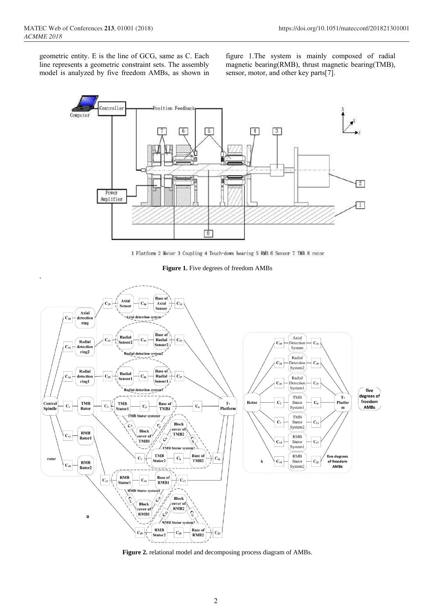geometric entity. E is the line of GCG, same as C. Each line represents a geometric constraint sets. The assembly model is analyzed by five freedom AMBs, as shown in figure 1.The system is mainly composed of radial magnetic bearing(RMB), thrust magnetic bearing(TMB), sensor, motor, and other key parts[7].



1 Platform 2 Motor 3 Coupling 4 Touch-down bearing 5 RMB 6 Sensor 7 TMB 8 rotor

**Figure 1.** Five degrees of freedom AMBs



**Figure 2.** relational model and decomposing process diagram of AMBs.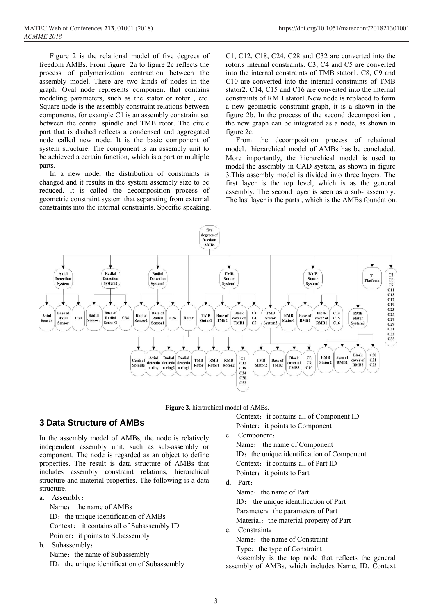Figure 2 is the relational model of five degrees of freedom AMBs. From figure 2a to figure 2c reflects the process of polymerization contraction between the assembly model. There are two kinds of nodes in the graph. Oval node represents component that contains modeling parameters, such as the stator or rotor , etc. Square node is the assembly constraint relations between components, for example C1 is an assembly constraint set between the central spindle and TMB rotor. The circle part that is dashed reflects a condensed and aggregated node called new node. It is the basic component of system structure. The component is an assembly unit to be achieved a certain function, which is a part or multiple parts.

In a new node, the distribution of constraints is changed and it results in the system assembly size to be reduced. It is called the decomposition process of geometric constraint system that separating from external constraints into the internal constraints. Specific speaking, C1, C12, C18, C24, C28 and C32 are converted into the rotor,s internal constraints. C3, C4 and C5 are converted into the internal constraints of TMB stator1. C8, C9 and C10 are converted into the internal constraints of TMB stator2. C14, C15 and C16 are converted into the internal constraints of RMB stator1.New node is replaced to form a new geometric constraint graph, it is a shown in the figure 2b. In the process of the second decomposition , the new graph can be integrated as a node, as shown in figure 2c.

From the decomposition process of relational model, hierarchical model of AMBs has be concluded. More importantly, the hierarchical model is used to model the assembly in CAD system, as shown in figure 3.This assembly model is divided into three layers. The first layer is the top level, which is as the general assembly. The second layer is seen as a sub- assembly. The last layer is the parts , which is the AMBs foundation.





## **3 Data Structure of AMBs**

In the assembly model of AMBs, the node is relatively independent assembly unit, such as sub-assembly or component. The node is regarded as an object to define properties. The result is data structure of AMBs that includes assembly constraint relations, hierarchical structure and material properties. The following is a data structure.

a. Assembly:

Name: the name of AMBs ID: the unique identification of AMBs Context: it contains all of Subassembly ID Pointer: it points to Subassembly

b. Subassembly:

Name: the name of Subassembly ID: the unique identification of Subassembly Context: it contains all of Component ID Pointer: it points to Component

c. Component: Name: the name of Component ID: the unique identification of Component Context: it contains all of Part ID Pointer: it points to Part

## d. Part:

Name: the name of Part ID: the unique identification of Part Parameter: the parameters of Part Material: the material property of Part

e. Constraint:

Name: the name of Constraint

Type: the type of Constraint

Assembly is the top node that reflects the general assembly of AMBs, which includes Name, ID, Context